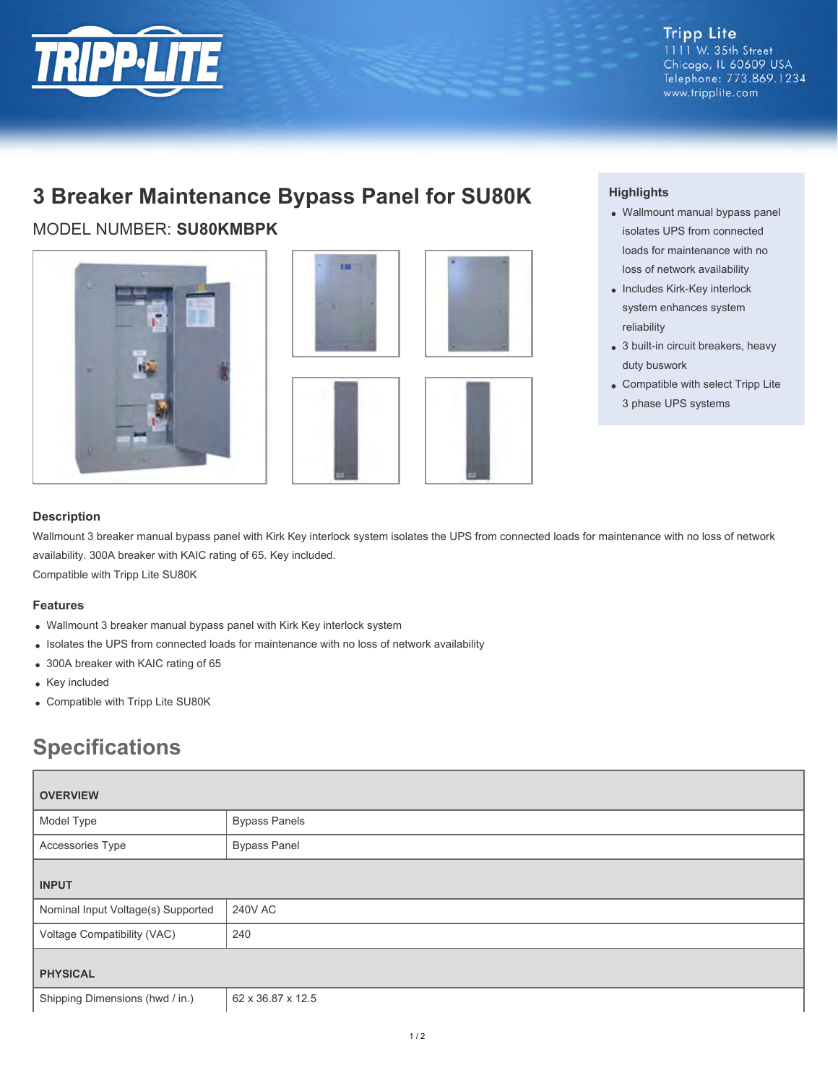

**Tripp Lite**  $1111$  W. 35th Street Chicago, IL 60609 USA Telephone: 773.869.1234 www.tripplite.com

## **3 Breaker Maintenance Bypass Panel for SU80K**

MODEL NUMBER: **SU80KMBPK**





#### **Highlights**

- Wallmount manual bypass panel isolates UPS from connected loads for maintenance with no loss of network availability
- Includes Kirk-Key interlock system enhances system reliability
- 3 built-in circuit breakers, heavy duty buswork
- Compatible with select Tripp Lite 3 phase UPS systems

### **Description**

Wallmount 3 breaker manual bypass panel with Kirk Key interlock system isolates the UPS from connected loads for maintenance with no loss of network availability. 300A breaker with KAIC rating of 65. Key included.

Compatible with Tripp Lite SU80K

#### **Features**

- Wallmount 3 breaker manual bypass panel with Kirk Key interlock system
- Isolates the UPS from connected loads for maintenance with no loss of network availability
- 300A breaker with KAIC rating of 65
- Key included
- Compatible with Tripp Lite SU80K

# **Specifications**

| <b>OVERVIEW</b>                    |                      |
|------------------------------------|----------------------|
| Model Type                         | <b>Bypass Panels</b> |
| Accessories Type                   | <b>Bypass Panel</b>  |
| <b>INPUT</b>                       |                      |
| Nominal Input Voltage(s) Supported | 240V AC              |
| Voltage Compatibility (VAC)        | 240                  |
| <b>PHYSICAL</b>                    |                      |
| Shipping Dimensions (hwd / in.)    | 62 x 36.87 x 12.5    |